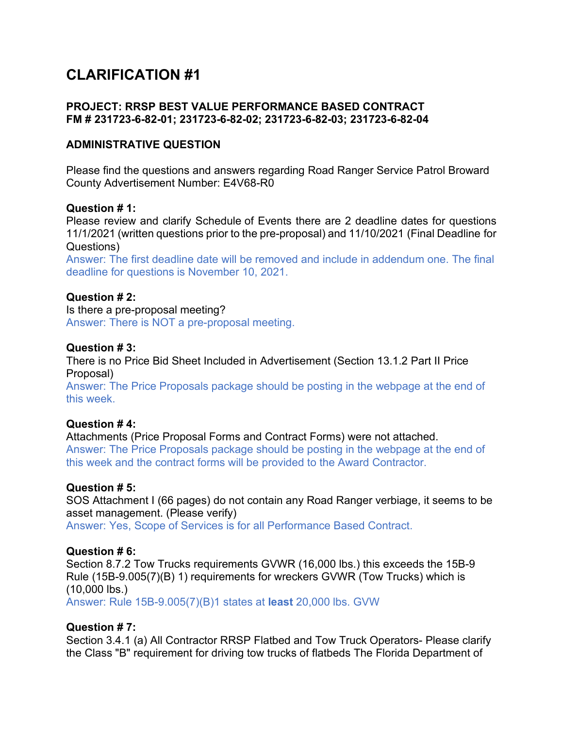# **CLARIFICATION #1**

## **PROJECT: RRSP BEST VALUE PERFORMANCE BASED CONTRACT FM # 231723-6-82-01; 231723-6-82-02; 231723-6-82-03; 231723-6-82-04**

## **ADMINISTRATIVE QUESTION**

Please find the questions and answers regarding Road Ranger Service Patrol Broward County Advertisement Number: E4V68-R0

#### **Question # 1:**

Please review and clarify Schedule of Events there are 2 deadline dates for questions 11/1/2021 (written questions prior to the pre-proposal) and 11/10/2021 (Final Deadline for Questions)

Answer: The first deadline date will be removed and include in addendum one. The final deadline for questions is November 10, 2021.

### **Question # 2:**

Is there a pre-proposal meeting? Answer: There is NOT a pre-proposal meeting.

### **Question # 3:**

There is no Price Bid Sheet Included in Advertisement (Section 13.1.2 Part II Price Proposal)

Answer: The Price Proposals package should be posting in the webpage at the end of this week.

### **Question # 4:**

Attachments (Price Proposal Forms and Contract Forms) were not attached. Answer: The Price Proposals package should be posting in the webpage at the end of this week and the contract forms will be provided to the Award Contractor.

### **Question # 5:**

SOS Attachment I (66 pages) do not contain any Road Ranger verbiage, it seems to be asset management. (Please verify)

Answer: Yes, Scope of Services is for all Performance Based Contract.

### **Question # 6:**

Section 8.7.2 Tow Trucks requirements GVWR (16,000 lbs.) this exceeds the 15B-9 Rule (15B-9.005(7)(B) 1) requirements for wreckers GVWR (Tow Trucks) which is (10,000 lbs.)

Answer: Rule 15B-9.005(7)(B)1 states at **least** 20,000 lbs. GVW

### **Question # 7:**

Section 3.4.1 (a) All Contractor RRSP Flatbed and Tow Truck Operators- Please clarify the Class "B" requirement for driving tow trucks of flatbeds The Florida Department of